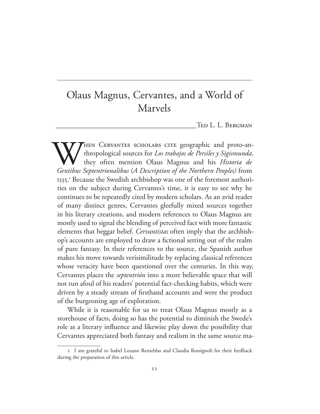## Olaus Magnus, Cervantes, and a World of Marvels

Ted L. L. Bergman

Weight CERVANTES SCHOLARS CITE geographic and proto-an-<br>thropological sources for Los trabajos de Persiles y Sigismunda,<br>Gentibus Septentrionalibus (*A Description of the Northern Peoples*) from thropological sources for *Los trabajos de Persiles y Sigismunda*, they often mention Olaus Magnus and his *Historia de*  1555. 1 Because the Swedish archbishop was one of the foremost authorities on the subject during Cervantes's time, it is easy to see why he continues to be repeatedly cited by modern scholars. As an avid reader of many distinct genres, Cervantes gleefully mixed sources together in his literary creations, and modern references to Olaus Magnus are mostly used to signal the blending of perceived fact with more fantastic elements that beggar belief. *Cervantistas* often imply that the archbishop's accounts are employed to draw a fctional setting out of the realm of pure fantasy. In their references to the source, the Spanish author makes his move towards verisimilitude by replacing classical references whose veracity have been questioned over the centuries. In this way, Cervantes places the *septentrión* into a more believable space that will not run afoul of his readers' potential fact-checking habits, which were driven by a steady stream of frsthand accounts and were the product of the burgeoning age of exploration.

While it is reasonable for us to treat Olaus Magnus mostly as a storehouse of facts, doing so has the potential to diminish the Swede's role as a literary infuence and likewise play down the possibility that Cervantes appreciated both fantasy and realism in the same source ma-

<sup>1</sup> I am grateful to Isabel Lozano Renieblas and Claudia Rossignoli for their feedback during the preparation of this article.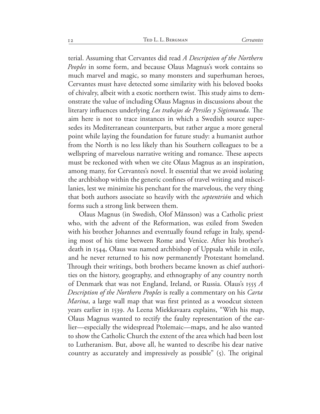terial. Assuming that Cervantes did read *A Description of the Northern Peoples* in some form, and because Olaus Magnus's work contains so much marvel and magic, so many monsters and superhuman heroes, Cervantes must have detected some similarity with his beloved books of chivalry, albeit with a exotic northern twist. This study aims to demonstrate the value of including Olaus Magnus in discussions about the literary influences underlying *Los trabajos de Persiles y Sigismunda*. The aim here is not to trace instances in which a Swedish source supersedes its Mediterranean counterparts, but rather argue a more general point while laying the foundation for future study: a humanist author from the North is no less likely than his Southern colleagues to be a wellspring of marvelous narrative writing and romance. These aspects must be reckoned with when we cite Olaus Magnus as an inspiration, among many, for Cervantes's novel. It essential that we avoid isolating the archbishop within the generic confnes of travel writing and miscellanies, lest we minimize his penchant for the marvelous, the very thing that both authors associate so heavily with the *septentrión* and which forms such a strong link between them.

Olaus Magnus (in Swedish, Olof Månsson) was a Catholic priest who, with the advent of the Reformation, was exiled from Sweden with his brother Johannes and eventually found refuge in Italy, spending most of his time between Rome and Venice. After his brother's death in 1544, Olaus was named archbishop of Uppsala while in exile, and he never returned to his now permanently Protestant homeland. Through their writings, both brothers became known as chief authorities on the history, geography, and ethnography of any country north of Denmark that was not England, Ireland, or Russia. Olaus's 1555 *A Description of the Northern Peoples* is really a commentary on his *Carta Marina*, a large wall map that was first printed as a woodcut sixteen years earlier in 1539. As Leena Miekkavaara explains, "With his map, Olaus Magnus wanted to rectify the faulty representation of the earlier—especially the widespread Ptolemaic—maps, and he also wanted to show the Catholic Church the extent of the area which had been lost to Lutheranism. But, above all, he wanted to describe his dear native country as accurately and impressively as possible"  $(5)$ . The original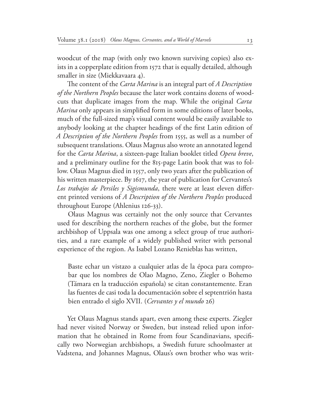woodcut of the map (with only two known surviving copies) also exists in a copperplate edition from 1572 that is equally detailed, although smaller in size (Miekkavaara 4).

The content of the *Carta Marina* is an integral part of *A Description of the Northern Peoples* because the later work contains dozens of woodcuts that duplicate images from the map. While the original *Carta Marina* only appears in simplifed form in some editions of later books, much of the full-sized map's visual content would be easily available to anybody looking at the chapter headings of the frst Latin edition of *A Description of the Northern Peoples* from 1555, as well as a number of subsequent translations. Olaus Magnus also wrote an annotated legend for the *Carta Marina*, a sixteen-page Italian booklet titled *Opera breve*, and a preliminary outline for the 815-page Latin book that was to follow. Olaus Magnus died in 1557, only two years after the publication of his written masterpiece. By 1617, the year of publication for Cervantes's *Los trabajos de Persiles y Sigismunda*, there were at least eleven diferent printed versions of *A Description of the Northern Peoples* produced throughout Europe (Ahlenius 126-33).

Olaus Magnus was certainly not the only source that Cervantes used for describing the northern reaches of the globe, but the former archbishop of Uppsala was one among a select group of true authorities, and a rare example of a widely published writer with personal experience of the region. As Isabel Lozano Renieblas has written,

Baste echar un vistazo a cualquier atlas de la época para comprobar que los nombres de Olao Magno, Zeno, Ziegler o Bohemo (Támara en la traducción española) se citan constantemente. Eran las fuentes de casi toda la documentación sobre el septentrión hasta bien entrado el siglo XVII. (*Cervantes y el mundo* 26)

Yet Olaus Magnus stands apart, even among these experts. Ziegler had never visited Norway or Sweden, but instead relied upon information that he obtained in Rome from four Scandinavians, specifcally two Norwegian archbishops, a Swedish future schoolmaster at Vadstena, and Johannes Magnus, Olaus's own brother who was writ-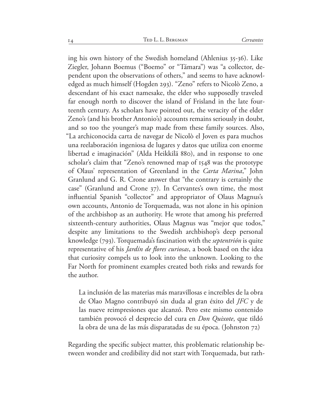ing his own history of the Swedish homeland (Ahlenius 35-36). Like Ziegler, Johann Boemus ("Boemo" or "Támara") was "a collector, dependent upon the observations of others," and seems to have acknowledged as much himself (Hogden 293). "Zeno" refers to Nicolò Zeno, a descendant of his exact namesake, the elder who supposedly traveled far enough north to discover the island of Frisland in the late fourteenth century. As scholars have pointed out, the veracity of the elder Zeno's (and his brother Antonio's) accounts remains seriously in doubt, and so too the younger's map made from these family sources. Also, "La archiconocida carta de navegar de Nicolò el Joven es para muchos una reelaboración ingeniosa de lugares y datos que utiliza con enorme libertad e imaginación" (Alda Heikkilä 880), and in response to one scholar's claim that "Zeno's renowned map of 1548 was the prototype of Olaus' representation of Greenland in the *Carta Marina*," John Granlund and G. R. Crone answer that "the contrary is certainly the case" (Granlund and Crone 37). In Cervantes's own time, the most infuential Spanish "collector" and appropriator of Olaus Magnus's own accounts, Antonio de Torquemada, was not alone in his opinion of the archbishop as an authority. He wrote that among his preferred sixteenth-century authorities, Olaus Magnus was "mejor que todos," despite any limitations to the Swedish archbishop's deep personal knowledge (793). Torquemada's fascination with the *septentrión* is quite representative of his *Jardín de fores curiosas*, a book based on the idea that curiosity compels us to look into the unknown. Looking to the Far North for prominent examples created both risks and rewards for the author.

La inclusión de las materias más maravillosas e increíbles de la obra de Olao Magno contribuyó sin duda al gran éxito del *JFC* y de las nueve reimpresiones que alcanzó. Pero este mismo contenido también provocó el desprecio del cura en *Don Quixote*, que tildó la obra de una de las más disparatadas de su época. (Johnston 72)

Regarding the specifc subject matter, this problematic relationship between wonder and credibility did not start with Torquemada, but rath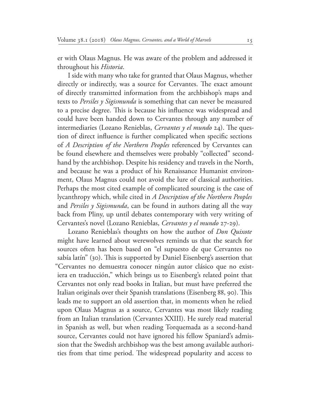er with Olaus Magnus. He was aware of the problem and addressed it throughout his *Historia*.

I side with many who take for granted that Olaus Magnus, whether directly or indirectly, was a source for Cervantes. The exact amount of directly transmitted information from the archbishop's maps and texts to *Persiles y Sigismunda* is something that can never be measured to a precise degree. This is because his influence was widespread and could have been handed down to Cervantes through any number of intermediaries (Lozano Renieblas, *Cervantes y el mundo* 24). The question of direct infuence is further complicated when specifc sections of *A Description of the Northern Peoples* referenced by Cervantes can be found elsewhere and themselves were probably "collected" secondhand by the archbishop. Despite his residency and travels in the North, and because he was a product of his Renaissance Humanist environment, Olaus Magnus could not avoid the lure of classical authorities. Perhaps the most cited example of complicated sourcing is the case of lycanthropy which, while cited in *A Description of the Northern Peoples*  and *Persiles y Sigismunda*, can be found in authors dating all the way back from Pliny, up until debates contemporary with very writing of Cervantes's novel (Lozano Renieblas, *Cervantes y el mundo* 27-29).

Lozano Renieblas's thoughts on how the author of *Don Quixote*  might have learned about werewolves reminds us that the search for sources often has been based on "el supuesto de que Cervantes no sabía latín" (30). This is supported by Daniel Eisenberg's assertion that "Cervantes no demuestra conocer ningún autor clásico que no existiera en traducción," which brings us to Eisenberg's related point that Cervantes not only read books in Italian, but must have preferred the Italian originals over their Spanish translations (Eisenberg 88, 90). This leads me to support an old assertion that, in moments when he relied upon Olaus Magnus as a source, Cervantes was most likely reading from an Italian translation (Cervantes XXIII). He surely read material in Spanish as well, but when reading Torquemada as a second-hand source, Cervantes could not have ignored his fellow Spaniard's admission that the Swedish archbishop was the best among available authorities from that time period. The widespread popularity and access to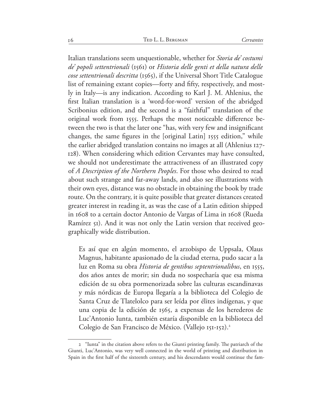Italian translations seem unquestionable, whether for *Storia de' costumi de' popoli settentrionali* (1561) or *Historia delle genti et della natura delle cose settentrionali descritta* (1565), if the Universal Short Title Catalogue list of remaining extant copies—forty and ffty, respectively, and mostly in Italy—is any indication. According to Karl J. M. Ahlenius, the frst Italian translation is a 'word-for-word' version of the abridged Scribonius edition, and the second is a "faithful" translation of the original work from 1555. Perhaps the most noticeable diference between the two is that the later one "has, with very few and insignifcant changes, the same fgures in the [original Latin] 1555 edition," while the earlier abridged translation contains no images at all (Ahlenius 127- 128). When considering which edition Cervantes may have consulted, we should not underestimate the attractiveness of an illustrated copy of *A Description of the Northern Peoples*. For those who desired to read about such strange and far-away lands, and also see illustrations with their own eyes, distance was no obstacle in obtaining the book by trade route. On the contrary, it is quite possible that greater distances created greater interest in reading it, as was the case of a Latin edition shipped in 1608 to a certain doctor Antonio de Vargas of Lima in 1608 (Rueda Ramírez 51). And it was not only the Latin version that received geographically wide distribution.

Es así que en algún momento, el arzobispo de Uppsala, Olaus Magnus, habitante apasionado de la ciudad eterna, pudo sacar a la luz en Roma su obra *Historia de gentibus septentrionalibus*, en 1555, dos años antes de morir; sin duda no sospecharía que esa misma edición de su obra pormenorizada sobre las culturas escandinavas y más nórdicas de Europa llegaría a la biblioteca del Colegio de Santa Cruz de Tlatelolco para ser leída por élites indígenas, y que una copia de la edición de 1565, a expensas de los herederos de Luc'Antonio Iunta, también estaría disponible en la biblioteca del Colegio de San Francisco de México. (Vallejo 151-152).<sup>2</sup>

<sup>2 &</sup>quot;Iunta" in the citation above refers to the Giunti printing family. The patriarch of the Giunti, Luc'Antonio, was very well connected in the world of printing and distribution in Spain in the frst half of the sixteenth century, and his descendants would continue the fam-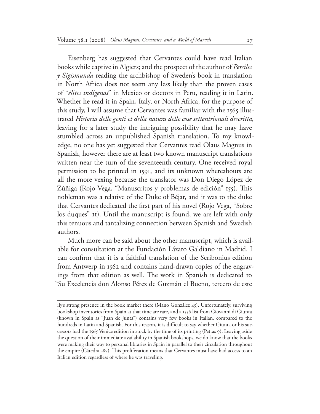Eisenberg has suggested that Cervantes could have read Italian books while captive in Algiers; and the prospect of the author of *Persiles y Sigismunda* reading the archbishop of Sweden's book in translation in North Africa does not seem any less likely than the proven cases of "*élites indígenas*" in Mexico or doctors in Peru, reading it in Latin. Whether he read it in Spain, Italy, or North Africa, for the purpose of this study, I will assume that Cervantes was familiar with the 1565 illustrated *Historia delle genti et della natura delle cose settentrionali descritta,*  leaving for a later study the intriguing possibility that he may have stumbled across an unpublished Spanish translation. To my knowledge, no one has yet suggested that Cervantes read Olaus Magnus in Spanish, however there are at least two known manuscript translations written near the turn of the seventeenth century. One received royal permission to be printed in 1591, and its unknown whereabouts are all the more vexing because the translator was Don Diego López de Zúñiga (Rojo Vega, "Manuscritos y problemas de edición" 155). This nobleman was a relative of the Duke of Béjar, and it was to the duke that Cervantes dedicated the frst part of his novel (Rojo Vega, "Sobre los duques" 11). Until the manuscript is found, we are left with only this tenuous and tantalizing connection between Spanish and Swedish authors.

Much more can be said about the other manuscript, which is available for consultation at the Fundación Lázaro Galdiano in Madrid. I can confrm that it is a faithful translation of the Scribonius edition from Antwerp in 1562 and contains hand-drawn copies of the engravings from that edition as well. The work in Spanish is dedicated to "Su Excelencia don Alonso Pérez de Guzmán el Bueno, tercero de este

ily's strong presence in the book market there (Mano González 45). Unfortunately, surviving bookshop inventories from Spain at that time are rare, and a 1556 list from Giovanni di Giunta (known in Spain as "Juan de Junta") contains very few books in Italian, compared to the hundreds in Latin and Spanish. For this reason, it is difficult to say whether Giunta or his successors had the 1565 Venice edition in stock by the time of its printing (Pettas 9). Leaving aside the question of their immediate availability in Spanish bookshops, we do know that the books were making their way to personal libraries in Spain in parallel to their circulation throughout the empire (Cátedra 387). This proliferation means that Cervantes must have had access to an Italian edition regardless of where he was traveling.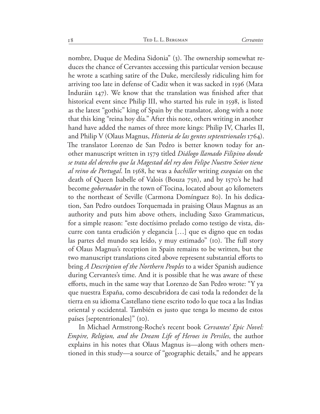nombre, Duque de Medina Sidonia" (3). The ownership somewhat reduces the chance of Cervantes accessing this particular version because he wrote a scathing satire of the Duke, mercilessly ridiculing him for arriving too late in defense of Cadiz when it was sacked in 1596 (Mata Induráin 147). We know that the translation was fnished after that historical event since Philip III, who started his rule in 1598, is listed as the latest "gothic" king of Spain by the translator, along with a note that this king "reina hoy día." After this note, others writing in another hand have added the names of three more kings: Philip IV, Charles II, and Philip V (Olaus Magnus, *Historia de las gentes septentrionales* 1764). The translator Lorenzo de San Pedro is better known today for another manuscript written in 1579 titled *Diálogo llamado Filipino donde se trata del derecho que la Magestad del rey don Felipe Nuestro Señor tiene al reino de Portugal*. In 1568, he was a *bachiller* writing *exequias* on the death of Queen Isabelle of Valois (Bouza 75n), and by 1570's he had become *gobernador* in the town of Tocina, located about 40 kilometers to the northeast of Seville (Carmona Domínguez 80). In his dedication, San Pedro outdoes Torquemada in praising Olaus Magnus as an authority and puts him above others, including Saxo Grammaticus, for a simple reason: "este doctísimo prelado como testigo de vista, discurre con tanta erudición y elegancia […] que es digno que en todas las partes del mundo sea leído, y muy estimado" (10). The full story of Olaus Magnus's reception in Spain remains to be written, but the two manuscript translations cited above represent substantial efforts to bring *A Description of the Northern Peoples* to a wider Spanish audience during Cervantes's time. And it is possible that he was aware of these eforts, much in the same way that Lorenzo de San Pedro wrote: "Y ya que nuestra España, como descubridora de casi toda la redondez de la tierra en su idioma Castellano tiene escrito todo lo que toca a las Indias oriental y occidental. También es justo que tenga lo mesmo de estos países [septentrionales]" (10).

In Michael Armstrong-Roche's recent book *Cervantes' Epic Novel: Empire, Religion, and the Dream Life of Heroes in Persiles*, the author explains in his notes that Olaus Magnus is—along with others mentioned in this study—a source of "geographic details," and he appears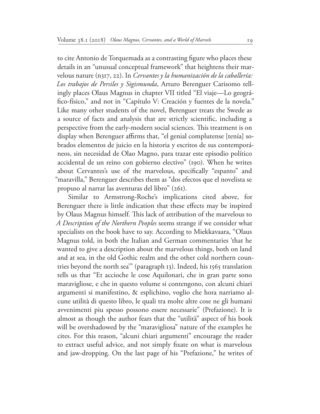to cite Antonio de Torquemada as a contrasting fgure who places these details in an "unusual conceptual framework" that heightens their marvelous nature (n317, 22). In *Cervantes y la humanización de la caballería: Los trabajos de Persiles y Sigismunda*, Arturo Berenguer Carisomo tellingly places Olaus Magnus in chapter VII titled "El viaje—Lo geográfco-físico," and not in "Capítulo V: Creación y fuentes de la novela." Like many other students of the novel, Berenguer treats the Swede as a source of facts and analysis that are strictly scientifc, including a perspective from the early-modern social sciences. This treatment is on display when Berenguer affirms that, "el genial complutense [tenía] sobrados elementos de juicio en la historia y escritos de sus contemporáneos, sin necesidad de Olao Magno, para trazar este episodio político accidental de un reino con gobierno electivo" (190). When he writes about Cervantes's use of the marvelous, specifcally "espanto" and "maravilla," Berenguer describes them as "dos efectos que el novelista se propuso al narrar las aventuras del libro" (261).

Similar to Armstrong-Roche's implications cited above, for Berenguer there is little indication that these effects may be inspired by Olaus Magnus himself. This lack of attribution of the marvelous to *A Description of the Northern Peoples* seems strange if we consider what specialists on the book have to say. According to Miekkavaara, "Olaus Magnus told, in both the Italian and German commentaries 'that he wanted to give a description about the marvelous things, both on land and at sea, in the old Gothic realm and the other cold northern countries beyond the north sea'" (paragraph 13). Indeed, his 1565 translation tells us that "Et accioche le cose Aquilonari, che in gran parte sono maravigliose, e che in questo volume si contengono, con alcuni chiari argumenti si manifestino, & esplichino, voglio che hora narriamo alcune utilità di questo libro, le quali tra molte altre cose ne gli humani avvenimenti piu spesso possono essere necessarie" (Prefazione). It is almost as though the author fears that the "utilità" aspect of his book will be overshadowed by the "maravigliosa" nature of the examples he cites. For this reason, "alcuni chiari argumenti" encourage the reader to extract useful advice, and not simply fxate on what is marvelous and jaw-dropping. On the last page of his "Prefazione," he writes of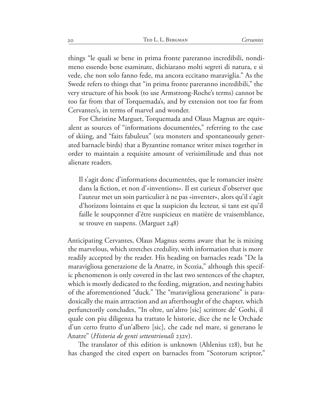things "le quali se bene in prima fronte pareranno incredibili, nondimeno essendo bene esaminate, dichiarano molti segreti di natura, e si vede, che non solo fanno fede, ma ancora eccitano maraviglia." As the Swede refers to things that "in prima fronte pareranno incredibili," the very structure of his book (to use Armstrong-Roche's terms) cannot be too far from that of Torquemada's, and by extension not too far from Cervantes's, in terms of marvel and wonder.

For Christine Marguet, Torquemada and Olaus Magnus are equivalent as sources of "informations documentées," referring to the case of skiing, and "faits fabuleux" (sea monsters and spontaneously generated barnacle birds) that a Byzantine romance writer mixes together in order to maintain a requisite amount of verisimilitude and thus not alienate readers.

Il s'agit donc d'informations documentées, que le romancier insère dans la fction, et non d'«inventions». Il est curieux d'observer que l'auteur met un soin particulier à ne pas «inventer», alors qu'il s'agit d'horizons lointains et que la suspicion du lecteur, si tant est qu'il faille le soupçonner d'être suspicieux en matière de vraisemblance, se trouve en suspens. (Marguet 248)

Anticipating Cervantes, Olaus Magnus seems aware that he is mixing the marvelous, which stretches credulity, with information that is more readily accepted by the reader. His heading on barnacles reads "De la maravigliosa generazione de la Anatre, in Scozia," although this specific phenomenon is only covered in the last two sentences of the chapter, which is mostly dedicated to the feeding, migration, and nesting habits of the aforementioned "duck." The "maravigliosa generazione" is paradoxically the main attraction and an afterthought of the chapter, which perfunctorily concludes, "In oltre, un'altro [sic] scrittore de' Gothi, il quale con piu diligenza ha trattato le historie, dice che ne le Orchade d'un certo frutto d'un'albero [sic], che cade nel mare, si generano le Anatre" (*Historia de genti settentrionali* 232v).

The translator of this edition is unknown (Ahlenius 128), but he has changed the cited expert on barnacles from "Scotorum scriptor,"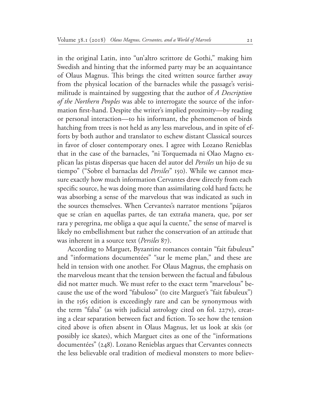in the original Latin, into "un'altro scrittore de Gothi," making him Swedish and hinting that the informed party may be an acquaintance of Olaus Magnus. This brings the cited written source farther away from the physical location of the barnacles while the passage's verisimilitude is maintained by suggesting that the author of *A Description of the Northern Peoples* was able to interrogate the source of the information frst-hand. Despite the writer's implied proximity—by reading or personal interaction—to his informant, the phenomenon of birds hatching from trees is not held as any less marvelous, and in spite of efforts by both author and translator to eschew distant Classical sources in favor of closer contemporary ones. I agree with Lozano Renieblas that in the case of the barnacles, "ni Torquemada ni Olao Magno explican las pistas dispersas que hacen del autor del *Persiles* un hijo de su tiempo" ("Sobre el barnaclas del *Persiles*" 150). While we cannot measure exactly how much information Cervantes drew directly from each specifc source, he was doing more than assimilating cold hard facts; he was absorbing a sense of the marvelous that was indicated as such in the sources themselves. When Cervantes's narrator mentions "pájaros que se crían en aquellas partes, de tan extraña manera, que, por ser rara y peregrina, me obliga a que aquí la cuente," the sense of marvel is likely no embellishment but rather the conservation of an attitude that was inherent in a source text (*Persiles* 87).

According to Marguet, Byzantine romances contain "fait fabuleux" and "informations documentées" "sur le meme plan," and these are held in tension with one another. For Olaus Magnus, the emphasis on the marvelous meant that the tension between the factual and fabulous did not matter much. We must refer to the exact term "marvelous" because the use of the word "fabuloso" (to cite Marguet's "fait fabuleux") in the 1565 edition is exceedingly rare and can be synonymous with the term "falsa" (as with judicial astrology cited on fol. 227v), creating a clear separation between fact and fction. To see how the tension cited above is often absent in Olaus Magnus, let us look at skis (or possibly ice skates), which Marguet cites as one of the "informations documentées" (248). Lozano Renieblas argues that Cervantes connects the less believable oral tradition of medieval monsters to more believ-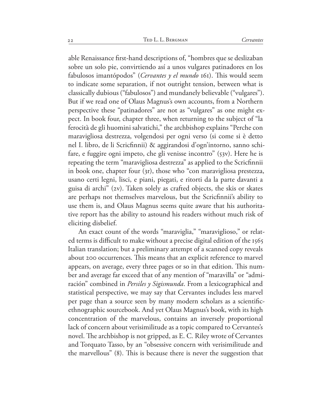able Renaissance frst-hand descriptions of, "hombres que se deslizaban sobre un solo pie, convirtiendo así a unos vulgares patinadores en los fabulosos imantópodos" (*Cervantes y el mundo* 161). Tis would seem to indicate some separation, if not outright tension, between what is classically dubious ("fabulosos") and mundanely believable ("vulgares"). But if we read one of Olaus Magnus's own accounts, from a Northern perspective these "patinadores" are not as "vulgares" as one might expect. In book four, chapter three, when returning to the subject of "la ferocità de gli huomini salvatichi," the archbishop explains "Perche con maravigliosa destrezza, volgendosi per ogni verso (si come si è detto nel I. libro, de li Scricfnnii) & aggirandosi d'ogn'intorno, sanno schifare, e fuggire ogni impeto, che gli venisse incontro" (53v). Here he is repeating the term "maravigliosa destrezza" as applied to the Scricfnnii in book one, chapter four (3r), those who "con maravigliosa prestezza, usano certi legni, lisci, e piani, piegati, e ritorti da la parte davanti a guisa di archi" (2v). Taken solely as crafted objects, the skis or skates are perhaps not themselves marvelous, but the Scricfnnii's ability to use them is, and Olaus Magnus seems quite aware that his authoritative report has the ability to astound his readers without much risk of eliciting disbelief.

An exact count of the words "maraviglia," "maraviglioso," or related terms is difficult to make without a precise digital edition of the 1565 Italian translation; but a preliminary attempt of a scanned copy reveals about 200 occurrences. This means that an explicit reference to marvel appears, on average, every three pages or so in that edition. This number and average far exceed that of any mention of "maravilla" or "admiración" combined in *Persiles y Sigismunda*. From a lexicographical and statistical perspective, we may say that Cervantes includes less marvel per page than a source seen by many modern scholars as a scientifcethnographic sourcebook. And yet Olaus Magnus's book, with its high concentration of the marvelous, contains an inversely proportional lack of concern about verisimilitude as a topic compared to Cervantes's novel. The archbishop is not gripped, as E. C. Riley wrote of Cervantes and Torquato Tasso, by an "obsessive concern with verisimilitude and the marvellous" (8). This is because there is never the suggestion that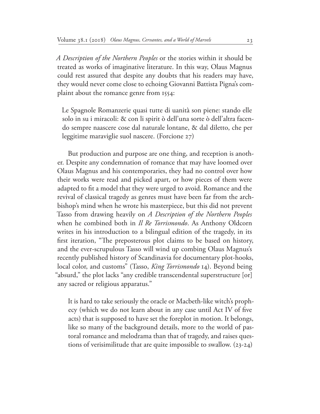*A Description of the Northern Peoples* or the stories within it should be treated as works of imaginative literature. In this way, Olaus Magnus could rest assured that despite any doubts that his readers may have, they would never come close to echoing Giovanni Battista Pigna's complaint about the romance genre from 1554:

Le Spagnole Romanzerie quasi tutte di uanità son piene: stando elle solo in su i miracoli: & con li spirit ò dell'una sorte ò dell'altra facendo sempre naascere cose dal naturale lontane, & dal diletto, che per leggitime maraviglie suol nascere. (Forcione 27)

But production and purpose are one thing, and reception is another. Despite any condemnation of romance that may have loomed over Olaus Magnus and his contemporaries, they had no control over how their works were read and picked apart, or how pieces of them were adapted to ft a model that they were urged to avoid. Romance and the revival of classical tragedy as genres must have been far from the archbishop's mind when he wrote his masterpiece, but this did not prevent Tasso from drawing heavily on *A Description of the Northern Peoples* when he combined both in *Il Re Torrismondo*. As Anthony Oldcorn writes in his introduction to a bilingual edition of the tragedy, in its first iteration, "The preposterous plot claims to be based on history, and the ever-scrupulous Tasso will wind up combing Olaus Magnus's recently published history of Scandinavia for documentary plot-hooks, local color, and customs" (Tasso, *King Torrismondo* 14). Beyond being "absurd," the plot lacks "any credible transcendental superstructure [or] any sacred or religious apparatus."

It is hard to take seriously the oracle or Macbeth-like witch's prophecy (which we do not learn about in any case until Act IV of fve acts) that is supposed to have set the foreplot in motion. It belongs, like so many of the background details, more to the world of pastoral romance and melodrama than that of tragedy, and raises questions of verisimilitude that are quite impossible to swallow. (23-24)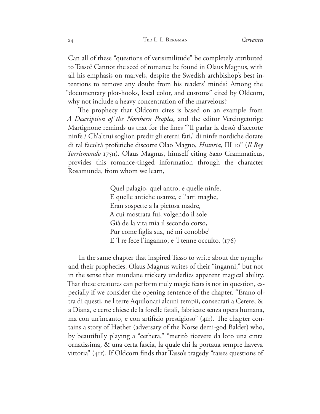Can all of these "questions of verisimilitude" be completely attributed to Tasso? Cannot the seed of romance be found in Olaus Magnus, with all his emphasis on marvels, despite the Swedish archbishop's best intentions to remove any doubt from his readers' minds? Among the "documentary plot-hooks, local color, and customs" cited by Oldcorn, why not include a heavy concentration of the marvelous?

The prophecy that Oldcorn cites is based on an example from *A Description of the Northern Peoples*, and the editor Vercingetorige Martignone reminds us that for the lines "'Il parlar la destò d'accorte ninfe / Ch'altrui soglion predir gli eterni fati,' di ninfe nordiche dotate di tal facoltà profetiche discorre Olao Magno, *Historia*, III 10" (*Il Rey Torrismondo* 175n). Olaus Magnus, himself citing Saxo Grammaticus, provides this romance-tinged information through the character Rosamunda, from whom we learn,

> Quel palagio, quel antro, e quelle ninfe, E quelle antiche usanze, e l'arti maghe, Eran sospette a la pietosa madre, A cui mostrata fui, volgendo il sole Già de la vita mia il secondo corso, Pur come fglia sua, né mi conobbe' E 'l re fece l'inganno, e 'l tenne occulto. (176)

In the same chapter that inspired Tasso to write about the nymphs and their prophecies, Olaus Magnus writes of their "inganni," but not in the sense that mundane trickery underlies apparent magical ability. That these creatures can perform truly magic feats is not in question, especially if we consider the opening sentence of the chapter. "Erano oltra di questi, ne l terre Aquilonari alcuni tempii, consecrati a Cerere, & a Diana, e certe chiese de la forelle fatali, fabricate senza opera humana, ma con un'incanto, e con artifizio prestigioso" (41r). The chapter contains a story of Høther (adversary of the Norse demi-god Balder) who, by beautifully playing a "cethera," "meritò ricevere da loro una cinta ornatissima, & una certa fascia, la quale chi la portaua sempre haveva vittoria" (41r). If Oldcorn fnds that Tasso's tragedy "raises questions of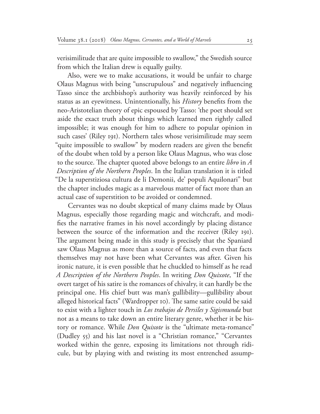verisimilitude that are quite impossible to swallow," the Swedish source from which the Italian drew is equally guilty.

Also, were we to make accusations, it would be unfair to charge Olaus Magnus with being "unscrupulous" and negatively infuencing Tasso since the archbishop's authority was heavily reinforced by his status as an eyewitness. Unintentionally, his *History* benefts from the neo-Aristotelian theory of epic espoused by Tasso: 'the poet should set aside the exact truth about things which learned men rightly called impossible; it was enough for him to adhere to popular opinion in such cases' (Riley 191). Northern tales whose verisimilitude may seem "quite impossible to swallow" by modern readers are given the beneft of the doubt when told by a person like Olaus Magnus, who was close to the source. The chapter quoted above belongs to an entire *libro* in *A Description of the Northern Peoples*. In the Italian translation it is titled "De la superstiziosa cultura de li Demonii, de' populi Aquilonari" but the chapter includes magic as a marvelous matter of fact more than an actual case of superstition to be avoided or condemned.

Cervantes was no doubt skeptical of many claims made by Olaus Magnus, especially those regarding magic and witchcraft, and modifes the narrative frames in his novel accordingly by placing distance between the source of the information and the receiver (Riley 191). The argument being made in this study is precisely that the Spaniard saw Olaus Magnus as more than a source of facts, and even that facts themselves may not have been what Cervantes was after. Given his ironic nature, it is even possible that he chuckled to himself as he read *A Description of the Northern Peoples*. In writing *Don Quixote*, "If the overt target of his satire is the romances of chivalry, it can hardly be the principal one. His chief butt was man's gullibility—gullibility about alleged historical facts" (Wardropper 10). The same satire could be said to exist with a lighter touch in *Los trabajos de Persiles y Sigismunda* but not as a means to take down an entire literary genre, whether it be history or romance. While *Don Quixote* is the "ultimate meta-romance" (Dudley 55) and his last novel is a "Christian romance," "Cervantes worked within the genre, exposing its limitations not through ridicule, but by playing with and twisting its most entrenched assump-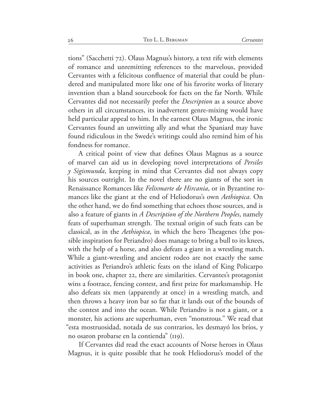tions" (Sacchetti 72). Olaus Magnus's history, a text rife with elements of romance and unremitting references to the marvelous, provided Cervantes with a felicitous confuence of material that could be plundered and manipulated more like one of his favorite works of literary invention than a bland sourcebook for facts on the far North. While Cervantes did not necessarily prefer the *Description* as a source above others in all circumstances, its inadvertent genre-mixing would have held particular appeal to him. In the earnest Olaus Magnus, the ironic Cervantes found an unwitting ally and what the Spaniard may have found ridiculous in the Swede's writings could also remind him of his fondness for romance.

A critical point of view that defnes Olaus Magnus as a source of marvel can aid us in developing novel interpretations of *Persiles y Sigismunda*, keeping in mind that Cervantes did not always copy his sources outright. In the novel there are no giants of the sort in Renaissance Romances like *Felixmarte de Hircania*, or in Byzantine romances like the giant at the end of Heliodorus's own *Aethiopica*. On the other hand, we do fnd something that echoes those sources, and is also a feature of giants in *A Description of the Northern Peoples*, namely feats of superhuman strength. The textual origin of such feats can be classical, as in the *Aethiopica*, in which the hero Theagenes (the possible inspiration for Periandro) does manage to bring a bull to its knees, with the help of a horse, and also defeats a giant in a wrestling match. While a giant-wrestling and ancient rodeo are not exactly the same activities as Periandro's athletic feats on the island of King Policarpo in book one, chapter 22, there are similarities. Cervantes's protagonist wins a footrace, fencing contest, and frst prize for marksmanship. He also defeats six men (apparently at once) in a wrestling match, and then throws a heavy iron bar so far that it lands out of the bounds of the contest and into the ocean. While Periandro is not a giant, or a monster, his actions are superhuman, even "monstrous." We read that "esta mostruosidad, notada de sus contrarios, les desmayó los bríos, y no osaron probarse en la contienda" (119).

If Cervantes did read the exact accounts of Norse heroes in Olaus Magnus, it is quite possible that he took Heliodorus's model of the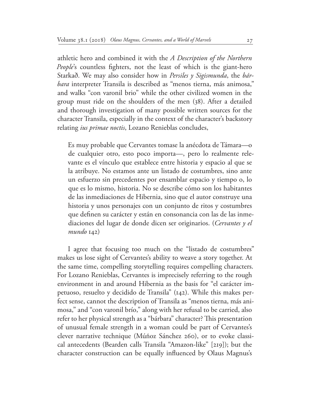athletic hero and combined it with the *A Description of the Northern People*'s countless fighters, not the least of which is the giant-hero Starkað. We may also consider how in *Persiles y Sigismunda*, the *bárbara* interpreter Transila is described as "menos tierna, más animosa," and walks "con varonil brio" while the other civilized women in the group must ride on the shoulders of the men (38). After a detailed and thorough investigation of many possible written sources for the character Transila, especially in the context of the character's backstory relating *ius primae noctis*, Lozano Renieblas concludes,

Es muy probable que Cervantes tomase la anécdota de Támara—o de cualquier otro, esto poco importa—, pero lo realmente relevante es el vínculo que establece entre historia y espacio al que se la atribuye. No estamos ante un listado de costumbres, sino ante un esfuerzo sin precedentes por ensamblar espacio y tiempo o, lo que es lo mismo, historia. No se describe cómo son los habitantes de las inmediaciones de Hibernia, sino que el autor construye una historia y unos personajes con un conjunto de ritos y costumbres que defnen su carácter y están en consonancia con las de las inmediaciones del lugar de donde dicen ser originarios. (*Cervantes y el mundo* 142)

I agree that focusing too much on the "listado de costumbres" makes us lose sight of Cervantes's ability to weave a story together. At the same time, compelling storytelling requires compelling characters. For Lozano Renieblas, Cervantes is imprecisely referring to the rough environment in and around Hibernia as the basis for "el carácter impetuoso, resuelto y decidido de Transila" (142). While this makes perfect sense, cannot the description of Transila as "menos tierna, más animosa," and "con varonil brío," along with her refusal to be carried, also refer to her physical strength as a "bárbara" character? This presentation of unusual female strength in a woman could be part of Cervantes's clever narrative technique (Múñoz Sánchez 260), or to evoke classical antecedents (Bearden calls Transila "Amazon-like" [219]); but the character construction can be equally infuenced by Olaus Magnus's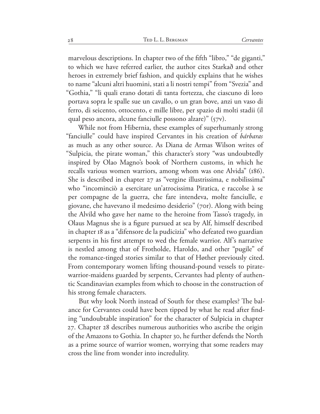marvelous descriptions. In chapter two of the ffth "libro," "de giganti," to which we have referred earlier, the author cites Starkað and other heroes in extremely brief fashion, and quickly explains that he wishes to name "alcuni altri huomini, stati a li nostri tempi" from "Svezia" and "Gothia," "li quali erano dotati di tanta fortezza, che ciascuno di loro portava sopra le spalle sue un cavallo, o un gran bove, anzi un vaso di ferro, di seicento, ottocento, e mille libre, per spazio di molti stadii (il qual peso ancora, alcune fanciulle possono alzare)" (57v).

While not from Hibernia, these examples of superhumanly strong "fanciulle" could have inspired Cervantes in his creation of *bárbaras* as much as any other source. As Diana de Armas Wilson writes of "Sulpicia, the pirate woman," this character's story "was undoubtedly inspired by Olao Magno's book of Northern customs, in which he recalls various women warriors, among whom was one Alvida" (186). She is described in chapter 27 as "vergine illustrissima, e nobilissima" who "incominciò a esercitare un'atrocissima Piratica, e raccolse à se per compagne de la guerra, che fare intendeva, molte fanciulle, e giovane, che havevano il medesimo desiderio" (70r). Along with being the Alvild who gave her name to the heroine from Tasso's tragedy, in Olaus Magnus she is a fgure pursued at sea by Alf, himself described in chapter 18 as a "difensore de la pudicizia" who defeated two guardian serpents in his frst attempt to wed the female warrior. Alf's narrative is nestled among that of Frotholde, Haroldo, and other "pugile" of the romance-tinged stories similar to that of Høther previously cited. From contemporary women lifting thousand-pound vessels to piratewarrior-maidens guarded by serpents, Cervantes had plenty of authentic Scandinavian examples from which to choose in the construction of his strong female characters.

But why look North instead of South for these examples? The balance for Cervantes could have been tipped by what he read after fnding "undoubtable inspiration" for the character of Sulpicia in chapter 27. Chapter 28 describes numerous authorities who ascribe the origin of the Amazons to Gothia. In chapter 30, he further defends the North as a prime source of warrior women, worrying that some readers may cross the line from wonder into incredulity.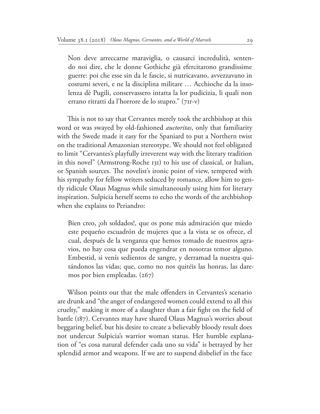Non deve arreccarne maraviglia, o causarci incredulità, sentendo noi dire, che le donne Gothiche già efercitarono grandissime guerre: poi che esse sin da le fascie, si nutricavano, avvezzavano in costumi severi, e ne la disciplina militare … Acchioche da la insolenza dè Pugili, conservassero intatta la lor pudicizia, li quali non errano ritratti da l'horrore de lo stupro." (71r-v)

This is not to say that Cervantes merely took the archbishop at this word or was swayed by old-fashioned *auctoritas*, only that familiarity with the Swede made it easy for the Spaniard to put a Northern twist on the traditional Amazonian stereotype. We should not feel obligated to limit "Cervantes's playfully irreverent way with the literary tradition in this novel" (Armstrong-Roche 131) to his use of classical, or Italian, or Spanish sources. The novelist's ironic point of view, tempered with his sympathy for fellow writers seduced by romance, allow him to gently ridicule Olaus Magnus while simultaneously using him for literary inspiration. Sulpicia herself seems to echo the words of the archbishop when she explains to Periandro:

Bien creo, ¡oh soldados!, que os pone más admiración que miedo este pequeño escuadrón de mujeres que a la vista se os ofrece, el cual, después de la venganza que hemos tomado de nuestros agravios, no hay cosa que pueda engendrar en nosotras temor alguno. Embestid, si venís sedientos de sangre, y derramad la nuestra quitándonos las vidas; que, como no nos quitéis las honras, las daremos por bien empleadas. (267)

Wilson points out that the male offenders in Cervantes's scenario are drunk and "the anger of endangered women could extend to all this cruelty," making it more of a slaughter than a fair fght on the feld of battle (187). Cervantes may have shared Olaus Magnus's worries about beggaring belief, but his desire to create a believably bloody result does not undercut Sulpicia's warrior woman status. Her humble explanation of "es cosa natural defender cada uno su vida" is betrayed by her splendid armor and weapons. If we are to suspend disbelief in the face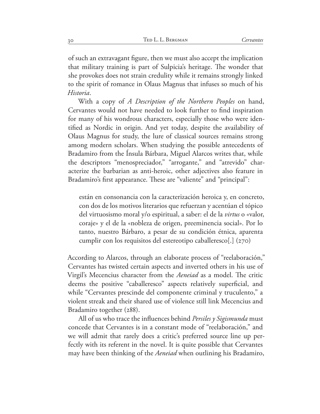of such an extravagant fgure, then we must also accept the implication that military training is part of Sulpicia's heritage. The wonder that she provokes does not strain credulity while it remains strongly linked to the spirit of romance in Olaus Magnus that infuses so much of his *Historia*.

With a copy of *A Description of the Northern Peoples* on hand, Cervantes would not have needed to look further to fnd inspiration for many of his wondrous characters, especially those who were identifed as Nordic in origin. And yet today, despite the availability of Olaus Magnus for study, the lure of classical sources remains strong among modern scholars. When studying the possible antecedents of Bradamiro from the Ínsula Bárbara, Miguel Alarcos writes that, while the descriptors "menospreciador," "arrogante," and "atrevido" characterize the barbarian as anti-heroic, other adjectives also feature in Bradamiro's first appearance. These are "valiente" and "principal":

están en consonancia con la caracterización heroica y, en concreto, con dos de los motivos literarios que refuerzan y acentúan el tópico del virtuosismo moral y/o espiritual, a saber: el de la *virtus* o «valor, coraje» y el de la «nobleza de origen, preeminencia social». Por lo tanto, nuestro Bárbaro, a pesar de su condición étnica, aparenta cumplir con los requisitos del estereotipo caballeresco[.] (270)

According to Alarcos, through an elaborate process of "reelaboración," Cervantes has twisted certain aspects and inverted others in his use of Virgil's Mecencius character from the *Aeneiad* as a model. The critic deems the positive "caballeresco" aspects relatively superficial, and while "Cervantes prescinde del componente criminal y truculento," a violent streak and their shared use of violence still link Mecencius and Bradamiro together (288).

All of us who trace the infuences behind *Persiles y Sigismunda* must concede that Cervantes is in a constant mode of "reelaboración," and we will admit that rarely does a critic's preferred source line up perfectly with its referent in the novel. It is quite possible that Cervantes may have been thinking of the *Aeneiad* when outlining his Bradamiro,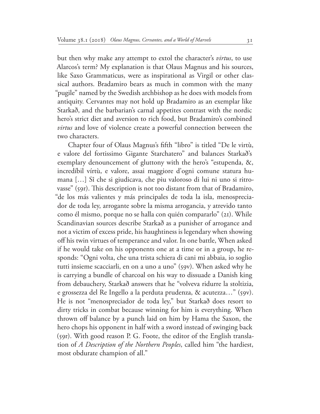but then why make any attempt to extol the character's *virtus*, to use Alarcos's term? My explanation is that Olaus Magnus and his sources, like Saxo Grammaticus, were as inspirational as Virgil or other classical authors. Bradamiro bears as much in common with the many "pugile" named by the Swedish archbishop as he does with models from antiquity. Cervantes may not hold up Bradamiro as an exemplar like Starkað, and the barbarian's carnal appetites contrast with the nordic hero's strict diet and aversion to rich food, but Bradamiro's combined *virtus* and love of violence create a powerful connection between the two characters.

Chapter four of Olaus Magnus's ffth "libro" is titled "De le virtù, e valore del fortissimo Gigante Starchatero" and balances Starkað's exemplary denouncement of gluttony with the hero's "estupenda, &, incredíbil vírtù, e valore, assai maggiore d'ogni comune statura humana […] Sî che si giudicava, che piu valoroso di lui ni uno si ritrovasse" (59r). This description is not too distant from that of Bradamiro, "de los más valientes y más principales de toda la isla, menospreciador de toda ley, arrogante sobre la misma arrogancia, y atrevido tanto como él mismo, porque no se halla con quién compararlo" (21). While Scandinavian sources describe Starkað as a punisher of arrogance and not a victim of excess pride, his haughtiness is legendary when showing of his twin virtues of temperance and valor. In one battle, When asked if he would take on his opponents one at a time or in a group, he responds: "Ogni volta, che una trista schiera di cani mi abbaia, io soglio tutti insieme scacciarli, en on a uno a uno" (59v). When asked why he is carrying a bundle of charcoal on his way to dissuade a Danish king from debauchery, Starkað answers that he "volveva ridurre la stoltizia, e grossezza del Re Ingello a la perduta prudenza, & acutezza…" (59v). He is not "menospreciador de toda ley," but Starkað does resort to dirty tricks in combat because winning for him is everything. When thrown off balance by a punch laid on him by Hama the Saxon, the hero chops his opponent in half with a sword instead of swinging back (59r). With good reason P. G. Foote, the editor of the English translation of *A Description of the Northern Peoples*, called him "the hardiest, most obdurate champion of all."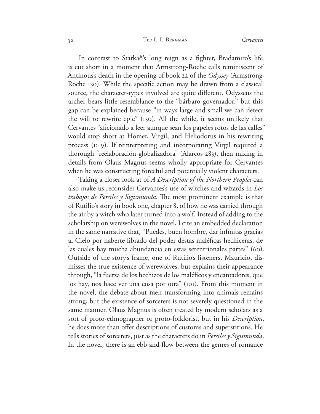In contrast to Starkað's long reign as a fghter, Bradamiro's life is cut short in a moment that Armstrong-Roche calls reminiscent of Antinous's death in the opening of book 22 of the *Odyssey* (Armstrong-Roche 130). While the specifc action may be drawn from a classical source, the character-types involved are quite diferent. Odysseus the archer bears little resemblance to the "bárbaro governador," but this gap can be explained because "in ways large and small we can detect the will to rewrite epic" (130). All the while, it seems unlikely that Cervantes "afcionado a leer aunque sean los papeles rotos de las calles" would stop short at Homer, Virgil, and Heliodorus in his rewriting process (1: 9). If reinterpreting and incorporating Virgil required a thorough "reelaboración globalizadora" (Alarcos 283), then mixing in details from Olaus Magnus seems wholly appropriate for Cervantes when he was constructing forceful and potentially violent characters.

Taking a closer look at of *A Description of the Northern Peoples* can also make us reconsider Cervantes's use of witches and wizards in *Los trabajos de Persiles y Sigismunda*. The most prominent example is that of Rutilio's story in book one, chapter 8, of how he was carried through the air by a witch who later turned into a wolf. Instead of adding to the scholarship on werewolves in the novel, I cite an embedded declaration in the same narrative that, "Puedes, buen hombre, dar infnitas gracias al Cielo por haberte librado del poder destas maléfcas hechiceras, de las cuales hay mucha abundancia en estas setentrionales partes" (60). Outside of the story's frame, one of Rutilio's listeners, Mauricio, dismisses the true existence of werewolves, but explains their appearance through, "la fuerza de los hechizos de los maléfcos y encantadores, que los hay, nos hace ver una cosa por otra" (101). From this moment in the novel, the debate about men transforming into animals remains strong, but the existence of sorcerers is not severely questioned in the same manner. Olaus Magnus is often treated by modern scholars as a sort of proto-ethnographer or proto-folklorist, but in his *Description*, he does more than offer descriptions of customs and superstitions. He tells stories of sorcerers, just as the characters do in *Persiles y Sigismunda*. In the novel, there is an ebb and flow between the genres of romance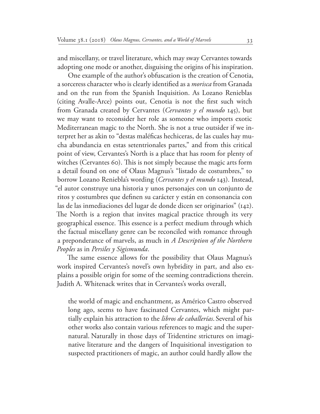and miscellany, or travel literature, which may sway Cervantes towards adopting one mode or another, disguising the origins of his inspiration.

One example of the author's obfuscation is the creation of Cenotia, a sorceress character who is clearly identifed as a *morisca* from Granada and on the run from the Spanish Inquisition. As Lozano Renieblas (citing Avalle-Arce) points out, Cenotia is not the frst such witch from Granada created by Cervantes (*Cervantes y el mundo* 145), but we may want to reconsider her role as someone who imports exotic Mediterranean magic to the North. She is not a true outsider if we interpret her as akin to "destas maléfcas hechiceras, de las cuales hay mucha abundancia en estas setentrionales partes," and from this critical point of view, Cervantes's North is a place that has room for plenty of witches (Cervantes 60). This is not simply because the magic arts form a detail found on one of Olaus Magnus's "listado de costumbres," to borrow Lozano Reniebla's wording (*Cervantes y el mundo* 143). Instead, "el autor construye una historia y unos personajes con un conjunto de ritos y costumbres que defnen su carácter y están en consonancia con las de las inmediaciones del lugar de donde dicen ser originarios" (142). The North is a region that invites magical practice through its very geographical essence. This essence is a perfect medium through which the factual miscellany genre can be reconciled with romance through a preponderance of marvels, as much in *A Description of the Northern Peoples* as in *Persiles y Sigismunda*.

The same essence allows for the possibility that Olaus Magnus's work inspired Cervantes's novel's own hybridity in part, and also explains a possible origin for some of the seeming contradictions therein. Judith A. Whitenack writes that in Cervantes's works overall,

the world of magic and enchantment, as Américo Castro observed long ago, seems to have fascinated Cervantes, which might partially explain his attraction to the *libros de caballerías*. Several of his other works also contain various references to magic and the supernatural. Naturally in those days of Tridentine strictures on imaginative literature and the dangers of Inquisitional investigation to suspected practitioners of magic, an author could hardly allow the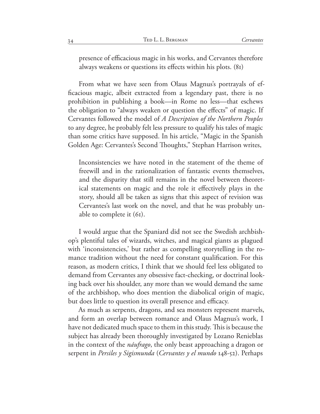presence of efficacious magic in his works, and Cervantes therefore always weakens or questions its efects within his plots. (81)

From what we have seen from Olaus Magnus's portrayals of effcacious magic, albeit extracted from a legendary past, there is no prohibition in publishing a book—in Rome no less—that eschews the obligation to "always weaken or question the efects" of magic. If Cervantes followed the model of *A Description of the Northern Peoples*  to any degree, he probably felt less pressure to qualify his tales of magic than some critics have supposed. In his article, "Magic in the Spanish Golden Age: Cervantes's Second Thoughts," Stephan Harrison writes,

Inconsistencies we have noted in the statement of the theme of freewill and in the rationalization of fantastic events themselves, and the disparity that still remains in the novel between theoretical statements on magic and the role it efectively plays in the story, should all be taken as signs that this aspect of revision was Cervantes's last work on the novel, and that he was probably unable to complete it (61).

I would argue that the Spaniard did not see the Swedish archbishop's plentiful tales of wizards, witches, and magical giants as plagued with 'inconsistencies,' but rather as compelling storytelling in the romance tradition without the need for constant qualifcation. For this reason, as modern critics, I think that we should feel less obligated to demand from Cervantes any obsessive fact-checking, or doctrinal looking back over his shoulder, any more than we would demand the same of the archbishop, who does mention the diabolical origin of magic, but does little to question its overall presence and efficacy.

As much as serpents, dragons, and sea monsters represent marvels, and form an overlap between romance and Olaus Magnus's work, I have not dedicated much space to them in this study. This is because the subject has already been thoroughly investigated by Lozano Renieblas in the context of the *náufrago*, the only beast approaching a dragon or serpent in *Persiles y Sigismunda* (*Cervantes y el mundo* 148-52). Perhaps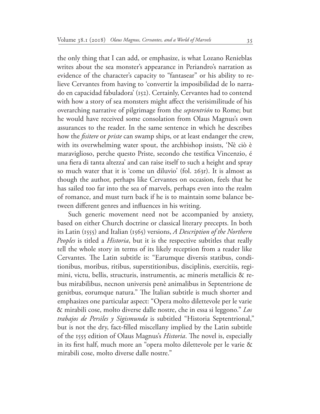the only thing that I can add, or emphasize, is what Lozano Renieblas writes about the sea monster's appearance in Periandro's narration as evidence of the character's capacity to "fantasear" or his ability to relieve Cervantes from having to 'convertir la imposibilidad de lo narrado en capacidad fabuladora' (152). Certainly, Cervantes had to contend with how a story of sea monsters might afect the verisimilitude of his overarching narrative of pilgrimage from the *septentrión* to Rome; but he would have received some consolation from Olaus Magnus's own assurances to the reader. In the same sentence in which he describes how the *fsitere* or *priste* can swamp ships, or at least endanger the crew, with its overwhelming water spout, the archbishop insists, 'Nè ciò è maraviglioso, perche questo Priste, secondo che testifca Vincenzio, é una fera di tanta altezza' and can raise itself to such a height and spray so much water that it is 'come un diluvio' (fol. 263r). It is almost as though the author, perhaps like Cervantes on occasion, feels that he has sailed too far into the sea of marvels, perhaps even into the realm of romance, and must turn back if he is to maintain some balance between diferent genres and infuences in his writing.

Such generic movement need not be accompanied by anxiety, based on either Church doctrine or classical literary precepts. In both its Latin (1555) and Italian (1565) versions, *A Description of the Northern Peoples* is titled a *Historia*, but it is the respective subtitles that really tell the whole story in terms of its likely reception from a reader like Cervantes. The Latin subtitle is: "Earumque diversis statibus, conditionibus, moribus, ritibus, superstitionibus, disciplinis, exercitiis, regimini, victu, bellis, structuris, instrumentis, ac mineris metallicis & rebus mirabilibus, necnon universis penè animalibus in Septentrione de genitbus, eorumque natura." The Italian subtitle is much shorter and emphasizes one particular aspect: "Opera molto dilettevole per le varie & mirabili cose, molto diverse dalle nostre, che in essa si leggono." *Los trabajos de Persiles y Sigismunda* is subtitled "Historia Septentrional," but is not the dry, fact-flled miscellany implied by the Latin subtitle of the 1555 edition of Olaus Magnus's *Historia*. The novel is, especially in its frst half, much more an "opera molto dilettevole per le varie & mirabili cose, molto diverse dalle nostre."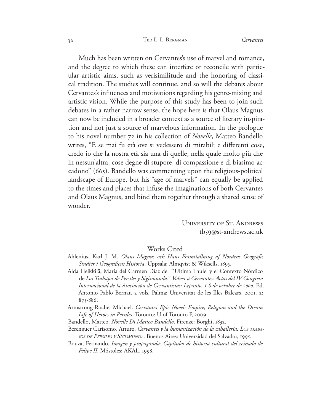Much has been written on Cervantes's use of marvel and romance, and the degree to which these can interfere or reconcile with particular artistic aims, such as verisimilitude and the honoring of classical tradition. The studies will continue, and so will the debates about Cervantes's infuences and motivations regarding his genre-mixing and artistic vision. While the purpose of this study has been to join such debates in a rather narrow sense, the hope here is that Olaus Magnus can now be included in a broader context as a source of literary inspiration and not just a source of marvelous information. In the prologue to his novel number 72 in his collection of *Novelle*, Matteo Bandello writes, "E se mai fu età ove si vedessero di mirabili e diferenti cose, credo io che la nostra età sia una di quelle, nella quale molto più che in nessun'altra, cose degne di stupore, di compassione e di biasimo accadono" (665). Bandello was commenting upon the religious-political landscape of Europe, but his "age of marvels" can equally be applied to the times and places that infuse the imaginations of both Cervantes and Olaus Magnus, and bind them together through a shared sense of wonder.

> University of St. Andrews tb59@st-andrews.ac.uk

## Works Cited

- Ahlenius, Karl J. M. *Olaus Magnus och Hans Framställning af Nordens Geograf; Studier i Geografens Historia*. Uppsala: Almqvist & Wiksells, 1895.
- Alda Heikkilä, María del Carmen Díaz de. "'Ultima Thule' y el Contexto Nórdico de *Los Trabajos de Persiles y Sigismunda*." *Volver a Cervantes: Actas del IV Congreso Internacional de la Asociación de Cervantistas: Lepanto, 1-8 de octubre de 2000*. Ed. Antonio Pablo Bernat. 2 vols. Palma: Universitat de les Illes Balears, 2001. 2: 875-886.
- Armstrong-Roche, Michael. *Cervantes' Epic Novel: Empire, Religion and the Dream Life of Heroes in Persiles*. Toronto: U of Toronto P, 2009.
- Bandello, Matteo. *Novelle Di Matteo Bandello*. Firenze: Borghi, 1832.
- Berenguer Carisomo, Arturo. *Cervantes y la humanización de la caballería: LOS TRABA-JOS DE PERSILES <sup>Y</sup> SIGISMUNDA*. Buenos Aires: Universidad del Salvador, 1995.
- Bouza, Fernando. *Imagen y propaganda: Capítulos de historia cultural del reinado de Felipe II*. Móstoles: AKAL, 1998.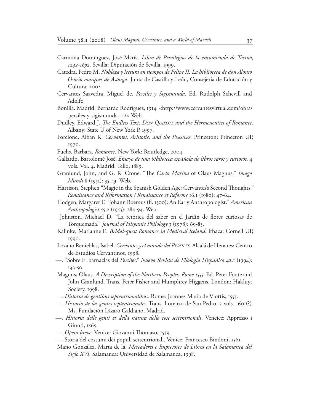- Carmona Domínguez, José María. *Libro de Privilegios de la encomienda de Tocina, 1242-1692*. Sevilla: Diputación de Sevilla, 1999.
- Cátedra, Pedro M. *Nobleza y lectura en tiempos de Felipe II: La biblioteca de don Alonso Osorio marqués de Astorga*. Junta de Castilla y León, Consejería de Educación y Cultura: 2002.
- Cervantes Saavedra, Miguel de. *Persiles y Sigismunda*. Ed. Rudolph Schevill and Adolfo
- Bonilla. Madrid: Bernardo Rodríguez, 1914. <http://www.cervantesvirtual.com/obra/ persiles-y-sigismunda--0/> Web.
- Dudley, Edward J. *Te Endless Text: DON QUIXOTE and the Hermeneutics of Romance.*  Albany: State U of New York P, 1997.
- Forcione, Alban K. *Cervantes, Aristotle, and the PERSILES*. Princeton: Princeton UP, 1970.
- Fuchs, Barbara. *Romance*. New York: Routledge, 2004.
- Gallardo, Bartolomé José. *Ensayo de una biblioteca española de libros raros y curiosos*. 4 vols. Vol. 4. Madrid: Tello, 1889.
- Granlund, John, and G. R. Crone. "The *Carta Marina* of Olaus Magnus." *Imago Mundi* 8 (1951): 35-43. Web.
- Harrison, Stephen "Magic in the Spanish Golden Age: Cervantes's Second Thoughts." *Renaissance and Reformation / Renaissance et Réforme* 16.1 (1980): 47-64.
- Hodgen, Margaret T. "Johann Boemus (f. 1500): An Early Anthropologist." *American Anthropologist* 55.2 (1953): 284-94. Web.
- Johnston, Michael D. "La retórica del saber en el Jardín de fores curiosas de Torquemada." *Journal of Hispanic Philology* 3 (1978): 69-83.
- Kalinke, Marianne E. *Bridal-quest Romance in Medieval Iceland*. Ithaca: Cornell UP, 1990.
- Lozano Renieblas, Isabel. *Cervantes y el mundo del PERSILES*. Alcalá de Henares: Centro de Estudios Cervantinos, 1998.
- —. "Sobre El barnaclas del *Persiles*." *Nueva Revista de Filología Hispánica* 42.1 (1994): 143-50.
- Magnus, Olaus. *A Description of the Northern Peoples, Rome 1555*. Ed. Peter Foote and John Granlund. Trans. Peter Fisher and Humphrey Higgens. London: Hakluyt Society, 1998.
- —. *Historia de gentibus septentrionalibus*. Rome: Joannes Maria de Viottis, 1555.
- —. *Historia de las gentes septentrionales*. Trans. Lorenzo de San Pedro. 2 vols. 1601(?). Ms. Fundación Lázaro Galdiano, Madrid.
- —. *Historia delle genti et della natura delle cose settentrionali*. Vencice: Appresso i Giunti, 1565.
- —. *Opera breve*. Venice: Giovanni Thomaso, 1539.
- —. Storia del costumi dei populi settentrionali. Venice: Francesco Bindoni, 1561.
- Mano González, Marta de la. *Mercaderes e Impresores de Libros en la Salamanca del Siglo XVI*. Salamanca: Universidad de Salamanca, 1998.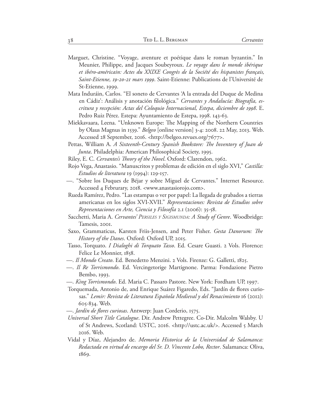- Marguet, Christine. "Voyage, aventure et poétique dans le roman byzantin." In Meunier, Philippe, and Jacques Soubeyroux. *Le voyage dans le monde ibérique et ibéro-américain: Actes du XXIXE Congrès de la Société des hispanistes français, Saint-Etienne, 19-20-21 mars 1999*. Saint-Etienne: Publications de l'Université de St-Etienne, 1999.
- Mata Induráin, Carlos. "El soneto de Cervantes 'A la entrada del Duque de Medina en Cádiz': Análisis y anotación flológica." *Cervantes y Andalucía: Biografía, escritura y recepción: Actas del Coloquio Internacional, Estepa, diciembre de 1998*. E. Pedro Ruiz Pérez. Estepa: Ayuntamiento de Estepa, 1998. 143-63.
- Miekkavaara, Leena. "Unknown Europe: The Mapping of the Northern Countries by Olaus Magnus in 1539." *Belgeo* [online version] 3-4: 2008. 22 May, 2013. Web. Accessed 28 September, 2016. <http://belgeo.revues.org/7677>.
- Pettas, William A. *A Sixteenth-Century Spanish Bookstore: Te Inventory of Juan de Junta*. Philadelphia: American Philosophical Society, 1995.
- Riley, E. C. *Cervantes's Teory of the Novel*. Oxford: Clarendon, 1962.
- Rojo Vega, Anastasio. "Manuscritos y problemas de edición en el siglo XVI," *Castilla: Estudios de literatura* 19 (1994): 129-157.
- —. "Sobre los Duques de Béjar y sobre Miguel de Cervantes." Internet Resource. Accessed 4 Februrary, 2018. <www.anastasiorojo.com>.
- Rueda Ramírez, Pedro. "Las estampas o ver por papel: La llegada de grabados a tierras americanas en los siglos XVI-XVII." *Representaciones: Revista de Estudios sobre Representaciones en Arte, Ciencia y Filosofía* 2.1 (2006): 35-58.
- Sacchetti, Maria A. *Cervantes' PERSILES <sup>Y</sup> SIGISMUNDA: A Study of Genre*. Woodbridge: Tamesis, 2001.
- Saxo, Grammaticus, Karsten Friis-Jensen, and Peter Fisher. *Gesta Danorum: Te History of the Danes*. Oxford: Oxford UP, 2015.
- Tasso, Torquato. *I Dialoghi di Torquato Tasso*. Ed. Cesare Guasti. 2 Vols. Florence: Felice Le Monnier, 1858.
- —. *Il Mondo Creato*. Ed. Benedetto Menzini. 2 Vols. Firenze: G. Galletti, 1825.
- —. *Il Re Torrismondo*. Ed. Vercingetorige Martignone. Parma: Fondazione Pietro Bembo, 1993.
- —. *King Torrismondo*. Ed. Maria C. Passaro Pastore. New York: Fordham UP, 1997.
- Torquemada, Antonio de, and Enrique Suárez Figaredo, Eds. "Jardín de fores curiosas." *Lemir: Revista de Literatura Española Medieval y del Renacimiento* 16 (2012): 605-834. Web.
- —. *Jardín de fores curiosas*. Antwerp: Juan Corderio, 1575.
- *Universal Short Title Catalogue*. Dir. Andrew Pettegree. Co-Dir. Malcolm Walsby. U of St Andrews, Scotland: USTC, 2016. <http://ustc.ac.uk/>. Accessed 5 March 2016. Web.
- Vidal y Díaz, Alejandro de. *Memoria Historica de la Universidad de Salamanca: Redactada en virtud de encargo del Sr. D. Vincente Lobo, Rector*. Salamanca: Oliva, 1869.